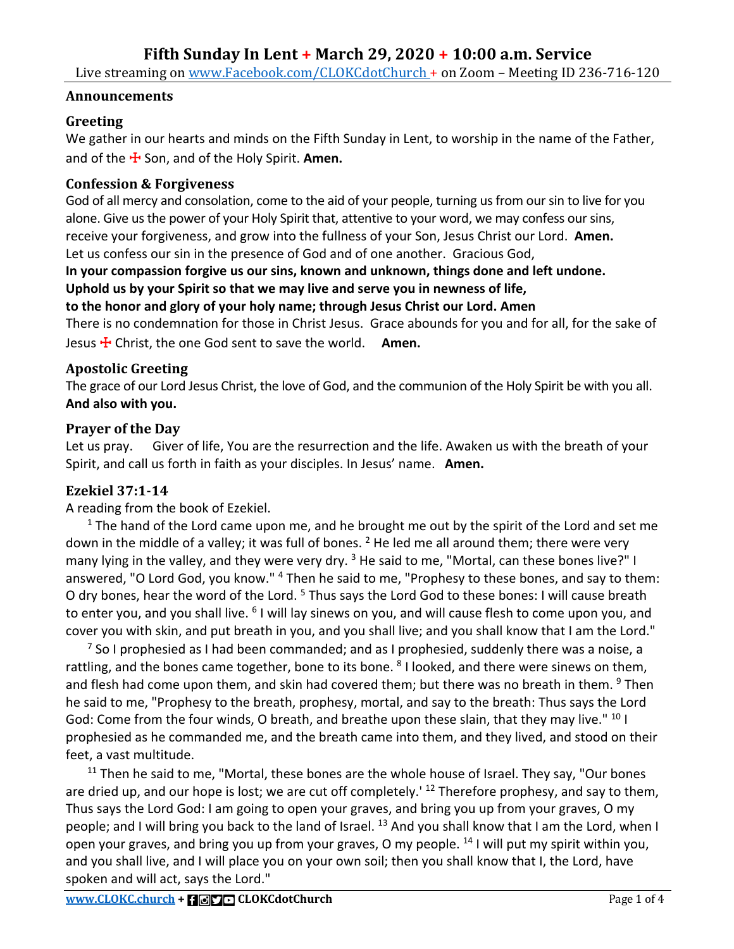Live streaming on www.Facebook.com/CLOKCdotChurch + on Zoom - Meeting ID 236-716-120

#### **Announcements**

## **Greeting**

We gather in our hearts and minds on the Fifth Sunday in Lent, to worship in the name of the Father, and of the ☩ Son, and of the Holy Spirit. **Amen.**

## **Confession & Forgiveness**

God of all mercy and consolation, come to the aid of your people, turning us from our sin to live for you alone. Give us the power of your Holy Spirit that, attentive to your word, we may confess our sins, receive your forgiveness, and grow into the fullness of your Son, Jesus Christ our Lord. **Amen.** Let us confess our sin in the presence of God and of one another. Gracious God,

# **In your compassion forgive us our sins, known and unknown, things done and left undone. Uphold us by your Spirit so that we may live and serve you in newness of life,**

**to the honor and glory of your holy name; through Jesus Christ our Lord. Amen**

There is no condemnation for those in Christ Jesus. Grace abounds for you and for all, for the sake of Jesus ☩ Christ, the one God sent to save the world. **Amen.**

## **Apostolic Greeting**

The grace of our Lord Jesus Christ, the love of God, and the communion of the Holy Spirit be with you all. **And also with you.**

## **Prayer of the Day**

Let us pray. Giver of life, You are the resurrection and the life. Awaken us with the breath of your Spirit, and call us forth in faith as your disciples. In Jesus' name. **Amen.**

## **Ezekiel 37:1-14**

A reading from the book of Ezekiel.

 $1$  The hand of the Lord came upon me, and he brought me out by the spirit of the Lord and set me down in the middle of a valley; it was full of bones.  $2$  He led me all around them; there were very many lying in the valley, and they were very dry.  $3$  He said to me, "Mortal, can these bones live?" I answered, "O Lord God, you know."<sup>4</sup> Then he said to me, "Prophesy to these bones, and say to them: O dry bones, hear the word of the Lord. <sup>5</sup> Thus says the Lord God to these bones: I will cause breath to enter you, and you shall live. <sup>6</sup> I will lay sinews on you, and will cause flesh to come upon you, and cover you with skin, and put breath in you, and you shall live; and you shall know that I am the Lord."

 $^7$  So I prophesied as I had been commanded; and as I prophesied, suddenly there was a noise, a rattling, and the bones came together, bone to its bone. <sup>8</sup> I looked, and there were sinews on them, and flesh had come upon them, and skin had covered them; but there was no breath in them. <sup>9</sup> Then he said to me, "Prophesy to the breath, prophesy, mortal, and say to the breath: Thus says the Lord God: Come from the four winds, O breath, and breathe upon these slain, that they may live." <sup>10</sup> I prophesied as he commanded me, and the breath came into them, and they lived, and stood on their feet, a vast multitude.

 $11$  Then he said to me, "Mortal, these bones are the whole house of Israel. They say, "Our bones are dried up, and our hope is lost; we are cut off completely.<sup>' 12</sup> Therefore prophesy, and say to them, Thus says the Lord God: I am going to open your graves, and bring you up from your graves, O my people; and I will bring you back to the land of Israel.  $^{13}$  And you shall know that I am the Lord, when I open your graves, and bring you up from your graves, O my people. <sup>14</sup> I will put my spirit within you, and you shall live, and I will place you on your own soil; then you shall know that I, the Lord, have spoken and will act, says the Lord."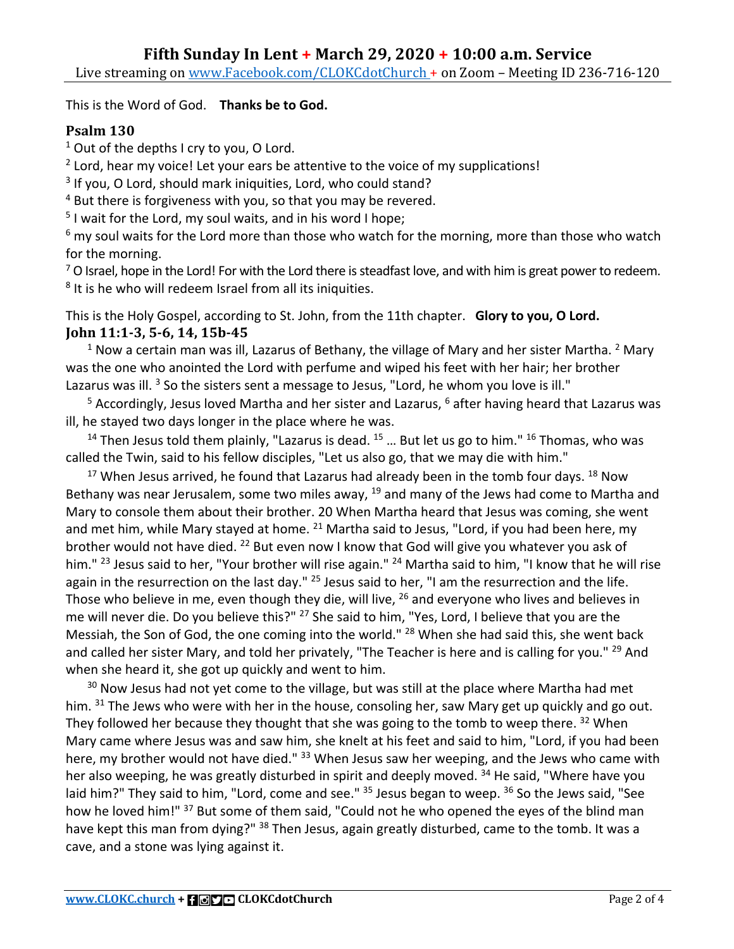This is the Word of God. **Thanks be to God.**

# **Psalm 130**

 $1$  Out of the depths I cry to you, O Lord.

 $2$  Lord, hear my voice! Let your ears be attentive to the voice of my supplications!

<sup>3</sup> If you, O Lord, should mark iniquities, Lord, who could stand?

<sup>4</sup> But there is forgiveness with you, so that you may be revered.<br><sup>5</sup> I wait for the Lord, my soul waits, and in his word I hope;

 $6$  my soul waits for the Lord more than those who watch for the morning, more than those who watch for the morning.

 $7$  O Israel, hope in the Lord! For with the Lord there is steadfast love, and with him is great power to redeem. <sup>8</sup> It is he who will redeem Israel from all its iniquities.

This is the Holy Gospel, according to St. John, from the 11th chapter. **Glory to you, O Lord. John 11:1-3, 5-6, 14, 15b-45** 

 $1$  Now a certain man was ill, Lazarus of Bethany, the village of Mary and her sister Martha.  $2$  Mary was the one who anointed the Lord with perfume and wiped his feet with her hair; her brother Lazarus was ill.  $3$  So the sisters sent a message to Jesus, "Lord, he whom you love is ill."

<sup>5</sup> Accordingly, Jesus loved Martha and her sister and Lazarus, <sup>6</sup> after having heard that Lazarus was ill, he stayed two days longer in the place where he was.

<sup>14</sup> Then Jesus told them plainly, "Lazarus is dead.  $15$  ... But let us go to him."  $16$  Thomas, who was called the Twin, said to his fellow disciples, "Let us also go, that we may die with him."

 $17$  When Jesus arrived, he found that Lazarus had already been in the tomb four days.  $18$  Now Bethany was near Jerusalem, some two miles away,  $19$  and many of the Jews had come to Martha and Mary to console them about their brother. 20 When Martha heard that Jesus was coming, she went and met him, while Mary stayed at home.  $^{21}$  Martha said to Jesus, "Lord, if you had been here, my brother would not have died. <sup>22</sup> But even now I know that God will give you whatever you ask of him." <sup>23</sup> Jesus said to her, "Your brother will rise again." <sup>24</sup> Martha said to him, "I know that he will rise again in the resurrection on the last day." <sup>25</sup> Jesus said to her, "I am the resurrection and the life. Those who believe in me, even though they die, will live, <sup>26</sup> and everyone who lives and believes in me will never die. Do you believe this?" <sup>27</sup> She said to him, "Yes, Lord, I believe that you are the Messiah, the Son of God, the one coming into the world." <sup>28</sup> When she had said this, she went back and called her sister Mary, and told her privately, "The Teacher is here and is calling for you." <sup>29</sup> And when she heard it, she got up quickly and went to him.

 $30$  Now Jesus had not yet come to the village, but was still at the place where Martha had met him. <sup>31</sup> The Jews who were with her in the house, consoling her, saw Mary get up quickly and go out. They followed her because they thought that she was going to the tomb to weep there. <sup>32</sup> When Mary came where Jesus was and saw him, she knelt at his feet and said to him, "Lord, if you had been here, my brother would not have died." <sup>33</sup> When Jesus saw her weeping, and the Jews who came with her also weeping, he was greatly disturbed in spirit and deeply moved. <sup>34</sup> He said, "Where have you laid him?" They said to him, "Lord, come and see." <sup>35</sup> Jesus began to weep. <sup>36</sup> So the Jews said, "See how he loved him!" <sup>37</sup> But some of them said, "Could not he who opened the eyes of the blind man have kept this man from dying?" <sup>38</sup> Then Jesus, again greatly disturbed, came to the tomb. It was a cave, and a stone was lying against it.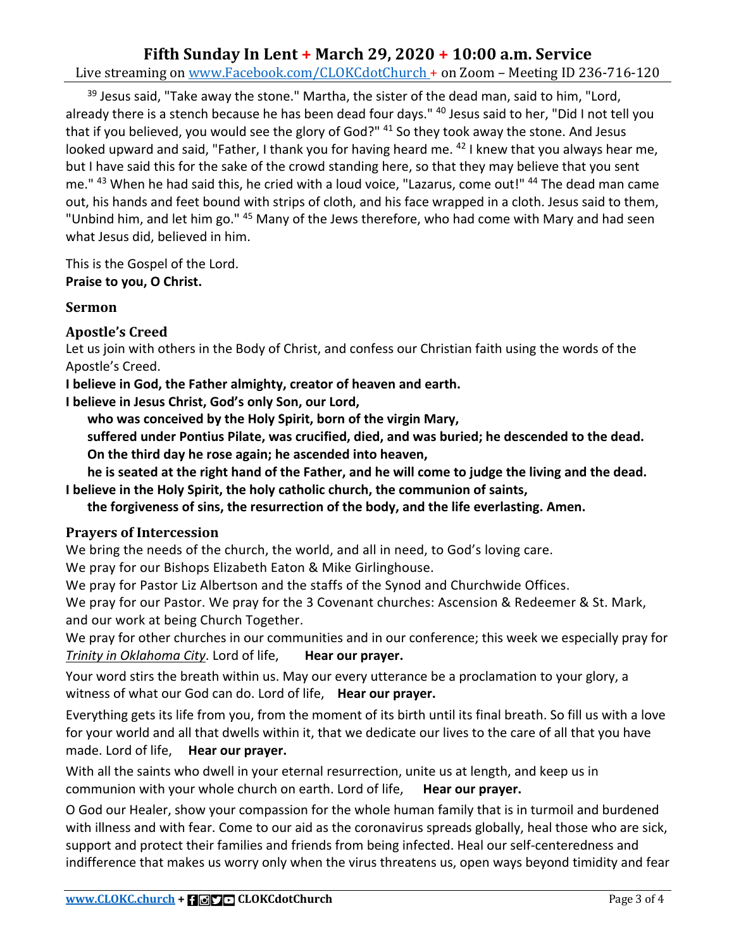## **Fifth Sunday In Lent + March 29, 2020 + 10:00 a.m. Service** Live streaming on www.Facebook.com/CLOKCdotChurch + on Zoom - Meeting ID 236-716-120

 $39$  Jesus said, "Take away the stone." Martha, the sister of the dead man, said to him, "Lord, already there is a stench because he has been dead four days." <sup>40</sup> Jesus said to her, "Did I not tell you that if you believed, you would see the glory of God?" <sup>41</sup> So they took away the stone. And Jesus looked upward and said, "Father, I thank you for having heard me. <sup>42</sup> I knew that you always hear me, but I have said this for the sake of the crowd standing here, so that they may believe that you sent me." 43 When he had said this, he cried with a loud voice, "Lazarus, come out!" 44 The dead man came out, his hands and feet bound with strips of cloth, and his face wrapped in a cloth. Jesus said to them, "Unbind him, and let him go." 45 Many of the Jews therefore, who had come with Mary and had seen what Jesus did, believed in him.

This is the Gospel of the Lord.

**Praise to you, O Christ.** 

#### **Sermon**

## **Apostle's Creed**

Let us join with others in the Body of Christ, and confess our Christian faith using the words of the Apostle's Creed.

**I believe in God, the Father almighty, creator of heaven and earth.**

**I believe in Jesus Christ, God's only Son, our Lord,**

**who was conceived by the Holy Spirit, born of the virgin Mary,**

**suffered under Pontius Pilate, was crucified, died, and was buried; he descended to the dead. On the third day he rose again; he ascended into heaven,**

**he is seated at the right hand of the Father, and he will come to judge the living and the dead. I believe in the Holy Spirit, the holy catholic church, the communion of saints,**

**the forgiveness of sins, the resurrection of the body, and the life everlasting. Amen.**

## **Prayers of Intercession**

We bring the needs of the church, the world, and all in need, to God's loving care.

We pray for our Bishops Elizabeth Eaton & Mike Girlinghouse.

We pray for Pastor Liz Albertson and the staffs of the Synod and Churchwide Offices.

We pray for our Pastor. We pray for the 3 Covenant churches: Ascension & Redeemer & St. Mark, and our work at being Church Together.

We pray for other churches in our communities and in our conference; this week we especially pray for *Trinity in Oklahoma City*. Lord of life, **Hear our prayer.**

Your word stirs the breath within us. May our every utterance be a proclamation to your glory, a witness of what our God can do. Lord of life, **Hear our prayer.**

Everything gets its life from you, from the moment of its birth until its final breath. So fill us with a love for your world and all that dwells within it, that we dedicate our lives to the care of all that you have made. Lord of life, **Hear our prayer.**

With all the saints who dwell in your eternal resurrection, unite us at length, and keep us in communion with your whole church on earth. Lord of life, **Hear our prayer.**

O God our Healer, show your compassion for the whole human family that is in turmoil and burdened with illness and with fear. Come to our aid as the coronavirus spreads globally, heal those who are sick, support and protect their families and friends from being infected. Heal our self-centeredness and indifference that makes us worry only when the virus threatens us, open ways beyond timidity and fear